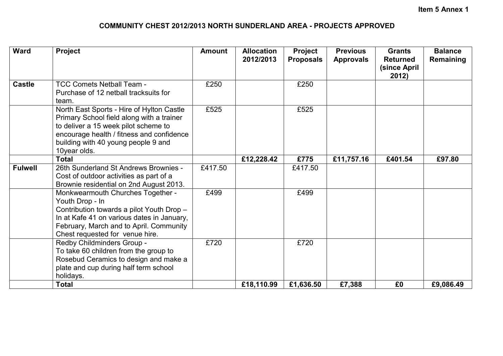## **COMMUNITY CHEST 2012/2013 NORTH SUNDERLAND AREA - PROJECTS APPROVED**

| <b>Ward</b>    | Project                                                                                                                                                                                                                            | <b>Amount</b> | <b>Allocation</b><br>2012/2013 | Project<br><b>Proposals</b> | <b>Previous</b><br><b>Approvals</b> | <b>Grants</b><br><b>Returned</b><br>(since April<br>2012) | <b>Balance</b><br>Remaining |
|----------------|------------------------------------------------------------------------------------------------------------------------------------------------------------------------------------------------------------------------------------|---------------|--------------------------------|-----------------------------|-------------------------------------|-----------------------------------------------------------|-----------------------------|
| <b>Castle</b>  | <b>TCC Comets Netball Team -</b><br>Purchase of 12 netball tracksuits for<br>team.                                                                                                                                                 | £250          |                                | £250                        |                                     |                                                           |                             |
|                | North East Sports - Hire of Hylton Castle<br>Primary School field along with a trainer<br>to deliver a 15 week pilot scheme to<br>encourage health / fitness and confidence<br>building with 40 young people 9 and<br>10year olds. | £525          |                                | £525                        |                                     |                                                           |                             |
|                | <b>Total</b>                                                                                                                                                                                                                       |               | £12,228.42                     | £775                        | £11,757.16                          | £401.54                                                   | £97.80                      |
| <b>Fulwell</b> | 26th Sunderland St Andrews Brownies -<br>Cost of outdoor activities as part of a<br>Brownie residential on 2nd August 2013.                                                                                                        | £417.50       |                                | £417.50                     |                                     |                                                           |                             |
|                | Monkwearmouth Churches Together -<br>Youth Drop - In<br>Contribution towards a pilot Youth Drop -<br>In at Kafe 41 on various dates in January,<br>February, March and to April. Community<br>Chest requested for venue hire.      | £499          |                                | £499                        |                                     |                                                           |                             |
|                | Redby Childminders Group -<br>To take 60 children from the group to<br>Rosebud Ceramics to design and make a<br>plate and cup during half term school<br>holidays.                                                                 | £720          |                                | £720                        |                                     |                                                           |                             |
|                | <b>Total</b>                                                                                                                                                                                                                       |               | £18,110.99                     | £1,636.50                   | £7,388                              | £0                                                        | £9,086.49                   |